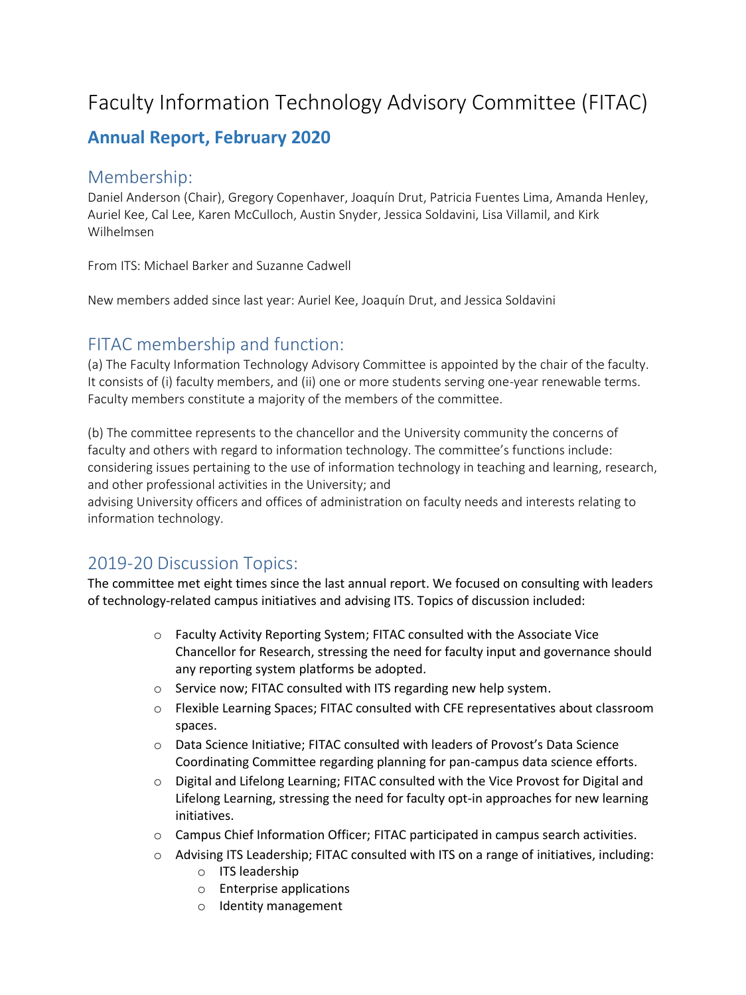# Faculty Information Technology Advisory Committee (FITAC)

# **Annual Report, February 2020**

#### Membership:

Daniel Anderson (Chair), Gregory Copenhaver, Joaquín Drut, Patricia Fuentes Lima, Amanda Henley, Auriel Kee, Cal Lee, Karen McCulloch, Austin Snyder, Jessica Soldavini, Lisa Villamil, and Kirk Wilhelmsen

From ITS: Michael Barker and Suzanne Cadwell

New members added since last year: Auriel Kee, Joaquín Drut, and Jessica Soldavini

### FITAC membership and function:

(a) The Faculty Information Technology Advisory Committee is appointed by the chair of the faculty. It consists of (i) faculty members, and (ii) one or more students serving one-year renewable terms. Faculty members constitute a majority of the members of the committee.

(b) The committee represents to the chancellor and the University community the concerns of faculty and others with regard to information technology. The committee's functions include: considering issues pertaining to the use of information technology in teaching and learning, research, and other professional activities in the University; and

advising University officers and offices of administration on faculty needs and interests relating to information technology.

## 2019-20 Discussion Topics:

The committee met eight times since the last annual report. We focused on consulting with leaders of technology-related campus initiatives and advising ITS. Topics of discussion included:

- o Faculty Activity Reporting System; FITAC consulted with the Associate Vice Chancellor for Research, stressing the need for faculty input and governance should any reporting system platforms be adopted.
- o Service now; FITAC consulted with ITS regarding new help system.
- $\circ$  Flexible Learning Spaces; FITAC consulted with CFE representatives about classroom spaces.
- o Data Science Initiative; FITAC consulted with leaders of Provost's Data Science Coordinating Committee regarding planning for pan-campus data science efforts.
- $\circ$  Digital and Lifelong Learning; FITAC consulted with the Vice Provost for Digital and Lifelong Learning, stressing the need for faculty opt-in approaches for new learning initiatives.
- $\circ$  Campus Chief Information Officer; FITAC participated in campus search activities.
- $\circ$  Advising ITS Leadership; FITAC consulted with ITS on a range of initiatives, including:
	- o ITS leadership
	- o Enterprise applications
	- o Identity management